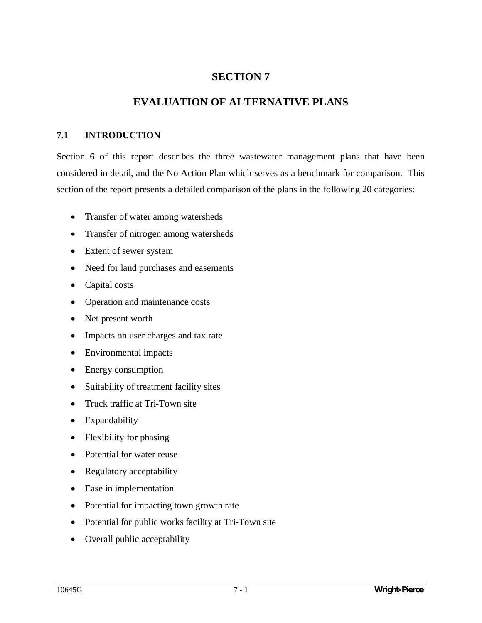# **SECTION 7**

# **EVALUATION OF ALTERNATIVE PLANS**

### **7.1 INTRODUCTION**

Section 6 of this report describes the three wastewater management plans that have been considered in detail, and the No Action Plan which serves as a benchmark for comparison. This section of the report presents a detailed comparison of the plans in the following 20 categories:

- Transfer of water among watersheds
- Transfer of nitrogen among watersheds
- Extent of sewer system
- Need for land purchases and easements
- $\bullet$  Capital costs
- Operation and maintenance costs
- Net present worth
- Impacts on user charges and tax rate
- Environmental impacts
- $\bullet$  Energy consumption
- Suitability of treatment facility sites
- Truck traffic at Tri-Town site
- Expandability
- $\bullet$  Flexibility for phasing
- Potential for water reuse
- Regulatory acceptability
- Ease in implementation
- Potential for impacting town growth rate
- Potential for public works facility at Tri-Town site
- Overall public acceptability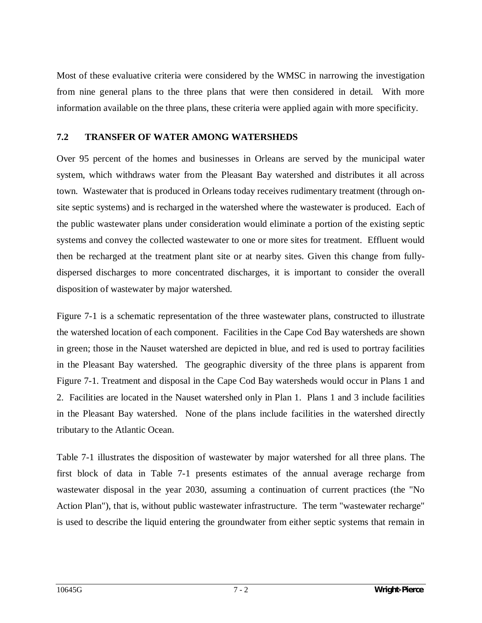Most of these evaluative criteria were considered by the WMSC in narrowing the investigation from nine general plans to the three plans that were then considered in detail. With more information available on the three plans, these criteria were applied again with more specificity.

#### **7.2 TRANSFER OF WATER AMONG WATERSHEDS**

Over 95 percent of the homes and businesses in Orleans are served by the municipal water system, which withdraws water from the Pleasant Bay watershed and distributes it all across town. Wastewater that is produced in Orleans today receives rudimentary treatment (through onsite septic systems) and is recharged in the watershed where the wastewater is produced. Each of the public wastewater plans under consideration would eliminate a portion of the existing septic systems and convey the collected wastewater to one or more sites for treatment. Effluent would then be recharged at the treatment plant site or at nearby sites. Given this change from fullydispersed discharges to more concentrated discharges, it is important to consider the overall disposition of wastewater by major watershed.

Figure 7-1 is a schematic representation of the three wastewater plans, constructed to illustrate the watershed location of each component. Facilities in the Cape Cod Bay watersheds are shown in green; those in the Nauset watershed are depicted in blue, and red is used to portray facilities in the Pleasant Bay watershed. The geographic diversity of the three plans is apparent from Figure 7-1. Treatment and disposal in the Cape Cod Bay watersheds would occur in Plans 1 and 2. Facilities are located in the Nauset watershed only in Plan 1. Plans 1 and 3 include facilities in the Pleasant Bay watershed. None of the plans include facilities in the watershed directly tributary to the Atlantic Ocean.

Table 7-1 illustrates the disposition of wastewater by major watershed for all three plans. The first block of data in Table 7-1 presents estimates of the annual average recharge from wastewater disposal in the year 2030, assuming a continuation of current practices (the "No Action Plan"), that is, without public wastewater infrastructure. The term "wastewater recharge" is used to describe the liquid entering the groundwater from either septic systems that remain in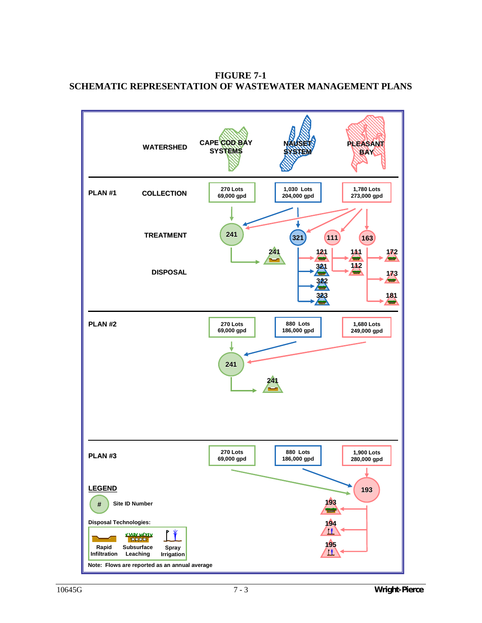

**FIGURE 7-1 SCHEMATIC REPRESENTATION OF WASTEWATER MANAGEMENT PLANS**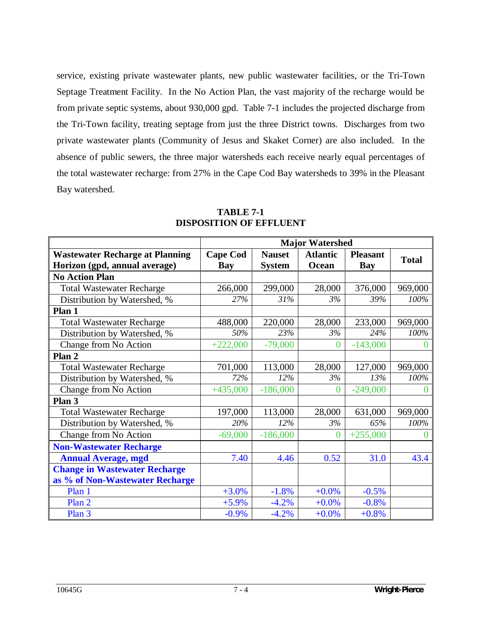service, existing private wastewater plants, new public wastewater facilities, or the Tri-Town Septage Treatment Facility. In the No Action Plan, the vast majority of the recharge would be from private septic systems, about 930,000 gpd. Table 7-1 includes the projected discharge from the Tri-Town facility, treating septage from just the three District towns. Discharges from two private wastewater plants (Community of Jesus and Skaket Corner) are also included. In the absence of public sewers, the three major watersheds each receive nearly equal percentages of the total wastewater recharge: from 27% in the Cape Cod Bay watersheds to 39% in the Pleasant Bay watershed.

|                                        |                 | <b>Major Watershed</b> |                 |                 |              |
|----------------------------------------|-----------------|------------------------|-----------------|-----------------|--------------|
| <b>Wastewater Recharge at Planning</b> | <b>Cape Cod</b> | <b>Nauset</b>          | <b>Atlantic</b> | <b>Pleasant</b> | <b>Total</b> |
| Horizon (gpd, annual average)          | <b>Bay</b>      | <b>System</b>          | Ocean           | <b>Bay</b>      |              |
| <b>No Action Plan</b>                  |                 |                        |                 |                 |              |
| <b>Total Wastewater Recharge</b>       | 266,000         | 299,000                | 28,000          | 376,000         | 969,000      |
| Distribution by Watershed, %           | 27%             | 31%                    | 3%              | 39%             | 100%         |
| Plan 1                                 |                 |                        |                 |                 |              |
| <b>Total Wastewater Recharge</b>       | 488,000         | 220,000                | 28,000          | 233,000         | 969,000      |
| Distribution by Watershed, %           | 50%             | 23%                    | 3%              | 24%             | 100%         |
| Change from No Action                  | $+222,000$      | $-79,000$              | $\overline{0}$  | $-143,000$      |              |
| Plan 2                                 |                 |                        |                 |                 |              |
| <b>Total Wastewater Recharge</b>       | 701,000         | 113,000                | 28,000          | 127,000         | 969,000      |
| Distribution by Watershed, %           | 72%             | 12%                    | 3%              | 13%             | 100%         |
| Change from No Action                  | $+435,000$      | $-186,000$             | $\overline{0}$  | $-249,000$      |              |
| Plan 3                                 |                 |                        |                 |                 |              |
| <b>Total Wastewater Recharge</b>       | 197,000         | 113,000                | 28,000          | 631,000         | 969,000      |
| Distribution by Watershed, %           | 20%             | 12%                    | 3%              | 65%             | 100%         |
| Change from No Action                  | $-69,000$       | $-186,000$             | $\theta$        | $+255,000$      |              |
| <b>Non-Wastewater Recharge</b>         |                 |                        |                 |                 |              |
| <b>Annual Average, mgd</b>             | 7.40            | 4.46                   | 0.52            | 31.0            | 43.4         |
| <b>Change in Wastewater Recharge</b>   |                 |                        |                 |                 |              |
| as % of Non-Wastewater Recharge        |                 |                        |                 |                 |              |
| Plan 1                                 | $+3.0%$         | $-1.8%$                | $+0.0%$         | $-0.5%$         |              |
| Plan 2                                 | $+5.9%$         | $-4.2%$                | $+0.0%$         | $-0.8%$         |              |
| Plan 3                                 | $-0.9\%$        | $-4.2%$                | $+0.0%$         | $+0.8%$         |              |

**TABLE 7-1 DISPOSITION OF EFFLUENT**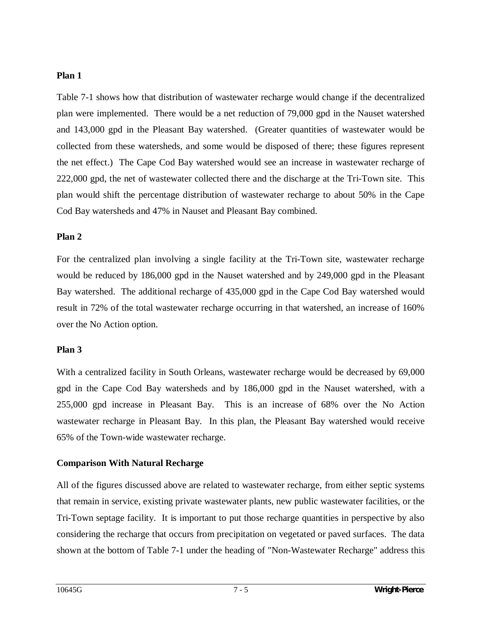#### **Plan 1**

Table 7-1 shows how that distribution of wastewater recharge would change if the decentralized plan were implemented. There would be a net reduction of 79,000 gpd in the Nauset watershed and 143,000 gpd in the Pleasant Bay watershed. (Greater quantities of wastewater would be collected from these watersheds, and some would be disposed of there; these figures represent the net effect.) The Cape Cod Bay watershed would see an increase in wastewater recharge of 222,000 gpd, the net of wastewater collected there and the discharge at the Tri-Town site. This plan would shift the percentage distribution of wastewater recharge to about 50% in the Cape Cod Bay watersheds and 47% in Nauset and Pleasant Bay combined.

#### **Plan 2**

For the centralized plan involving a single facility at the Tri-Town site, wastewater recharge would be reduced by 186,000 gpd in the Nauset watershed and by 249,000 gpd in the Pleasant Bay watershed. The additional recharge of 435,000 gpd in the Cape Cod Bay watershed would result in 72% of the total wastewater recharge occurring in that watershed, an increase of 160% over the No Action option.

### **Plan 3**

With a centralized facility in South Orleans, wastewater recharge would be decreased by 69,000 gpd in the Cape Cod Bay watersheds and by 186,000 gpd in the Nauset watershed, with a 255,000 gpd increase in Pleasant Bay. This is an increase of 68% over the No Action wastewater recharge in Pleasant Bay. In this plan, the Pleasant Bay watershed would receive 65% of the Town-wide wastewater recharge.

## **Comparison With Natural Recharge**

All of the figures discussed above are related to wastewater recharge, from either septic systems that remain in service, existing private wastewater plants, new public wastewater facilities, or the Tri-Town septage facility. It is important to put those recharge quantities in perspective by also considering the recharge that occurs from precipitation on vegetated or paved surfaces. The data shown at the bottom of Table 7-1 under the heading of "Non-Wastewater Recharge" address this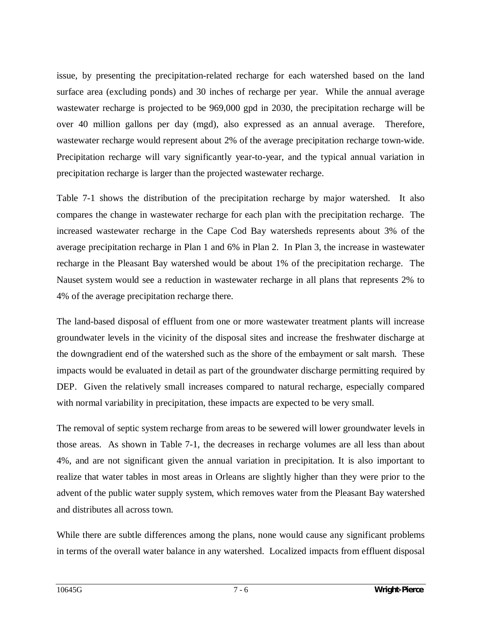issue, by presenting the precipitation-related recharge for each watershed based on the land surface area (excluding ponds) and 30 inches of recharge per year. While the annual average wastewater recharge is projected to be 969,000 gpd in 2030, the precipitation recharge will be over 40 million gallons per day (mgd), also expressed as an annual average. Therefore, wastewater recharge would represent about 2% of the average precipitation recharge town-wide. Precipitation recharge will vary significantly year-to-year, and the typical annual variation in precipitation recharge is larger than the projected wastewater recharge.

Table 7-1 shows the distribution of the precipitation recharge by major watershed. It also compares the change in wastewater recharge for each plan with the precipitation recharge. The increased wastewater recharge in the Cape Cod Bay watersheds represents about 3% of the average precipitation recharge in Plan 1 and 6% in Plan 2. In Plan 3, the increase in wastewater recharge in the Pleasant Bay watershed would be about 1% of the precipitation recharge. The Nauset system would see a reduction in wastewater recharge in all plans that represents 2% to 4% of the average precipitation recharge there.

The land-based disposal of effluent from one or more wastewater treatment plants will increase groundwater levels in the vicinity of the disposal sites and increase the freshwater discharge at the downgradient end of the watershed such as the shore of the embayment or salt marsh. These impacts would be evaluated in detail as part of the groundwater discharge permitting required by DEP. Given the relatively small increases compared to natural recharge, especially compared with normal variability in precipitation, these impacts are expected to be very small.

The removal of septic system recharge from areas to be sewered will lower groundwater levels in those areas. As shown in Table 7-1, the decreases in recharge volumes are all less than about 4%, and are not significant given the annual variation in precipitation. It is also important to realize that water tables in most areas in Orleans are slightly higher than they were prior to the advent of the public water supply system, which removes water from the Pleasant Bay watershed and distributes all across town.

While there are subtle differences among the plans, none would cause any significant problems in terms of the overall water balance in any watershed. Localized impacts from effluent disposal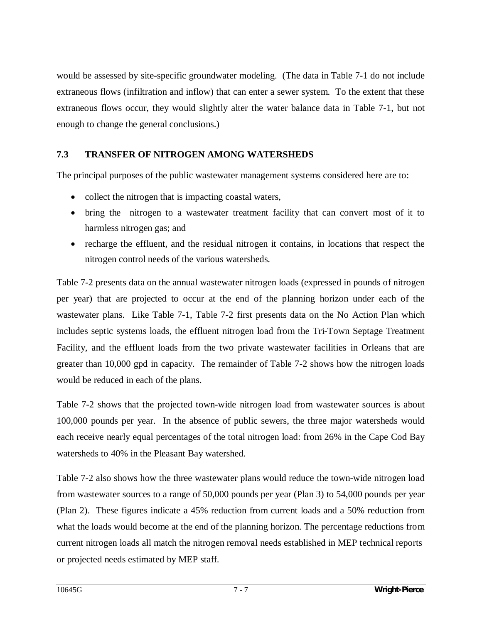would be assessed by site-specific groundwater modeling. (The data in Table 7-1 do not include extraneous flows (infiltration and inflow) that can enter a sewer system. To the extent that these extraneous flows occur, they would slightly alter the water balance data in Table 7-1, but not enough to change the general conclusions.)

### **7.3 TRANSFER OF NITROGEN AMONG WATERSHEDS**

The principal purposes of the public wastewater management systems considered here are to:

- $\bullet$  collect the nitrogen that is impacting coastal waters,
- bring the nitrogen to a wastewater treatment facility that can convert most of it to harmless nitrogen gas; and
- recharge the effluent, and the residual nitrogen it contains, in locations that respect the nitrogen control needs of the various watersheds.

Table 7-2 presents data on the annual wastewater nitrogen loads (expressed in pounds of nitrogen per year) that are projected to occur at the end of the planning horizon under each of the wastewater plans. Like Table 7-1, Table 7-2 first presents data on the No Action Plan which includes septic systems loads, the effluent nitrogen load from the Tri-Town Septage Treatment Facility, and the effluent loads from the two private wastewater facilities in Orleans that are greater than 10,000 gpd in capacity. The remainder of Table 7-2 shows how the nitrogen loads would be reduced in each of the plans.

Table 7-2 shows that the projected town-wide nitrogen load from wastewater sources is about 100,000 pounds per year. In the absence of public sewers, the three major watersheds would each receive nearly equal percentages of the total nitrogen load: from 26% in the Cape Cod Bay watersheds to 40% in the Pleasant Bay watershed.

Table 7-2 also shows how the three wastewater plans would reduce the town-wide nitrogen load from wastewater sources to a range of 50,000 pounds per year (Plan 3) to 54,000 pounds per year (Plan 2). These figures indicate a 45% reduction from current loads and a 50% reduction from what the loads would become at the end of the planning horizon. The percentage reductions from current nitrogen loads all match the nitrogen removal needs established in MEP technical reports or projected needs estimated by MEP staff.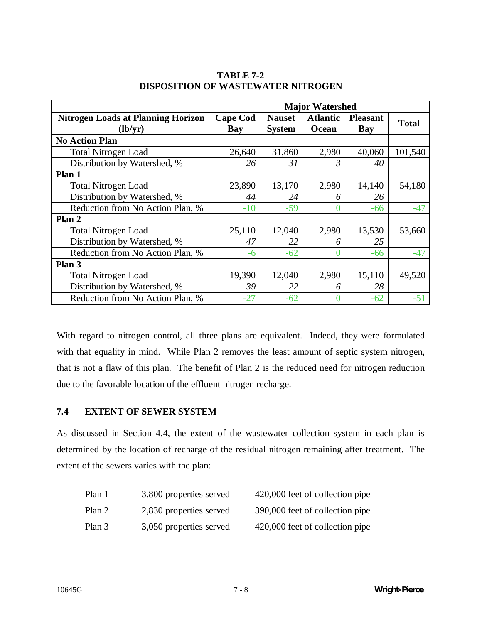|                                                      | <b>Major Watershed</b> |                                |                          |                               |              |
|------------------------------------------------------|------------------------|--------------------------------|--------------------------|-------------------------------|--------------|
| <b>Nitrogen Loads at Planning Horizon</b><br>(lb/yr) | <b>Cape Cod</b><br>Bay | <b>Nauset</b><br><b>System</b> | <b>Atlantic</b><br>Ocean | <b>Pleasant</b><br><b>Bay</b> | <b>Total</b> |
| <b>No Action Plan</b>                                |                        |                                |                          |                               |              |
| <b>Total Nitrogen Load</b>                           | 26,640                 | 31,860                         | 2,980                    | 40,060                        | 101,540      |
| Distribution by Watershed, %                         | 26                     | 31                             | 3                        | 40                            |              |
| Plan 1                                               |                        |                                |                          |                               |              |
| <b>Total Nitrogen Load</b>                           | 23,890                 | 13,170                         | 2,980                    | 14,140                        | 54,180       |
| Distribution by Watershed, %                         | 44                     | 24                             | O                        | 26                            |              |
| Reduction from No Action Plan, %                     | $-10$                  | $-59$                          |                          | $-66$                         | $-47$        |
| Plan 2                                               |                        |                                |                          |                               |              |
| <b>Total Nitrogen Load</b>                           | 25,110                 | 12,040                         | 2,980                    | 13,530                        | 53,660       |
| Distribution by Watershed, %                         | 47                     | 22                             | 6                        | 25                            |              |
| Reduction from No Action Plan, %                     | -6                     | $-62$                          | 0                        | -66                           | $-47$        |
| Plan 3                                               |                        |                                |                          |                               |              |
| <b>Total Nitrogen Load</b>                           | 19,390                 | 12,040                         | 2,980                    | 15,110                        | 49,520       |
| Distribution by Watershed, %                         | 39                     | 22                             | 6                        | 28                            |              |
| Reduction from No Action Plan, %                     | $-27$                  | $-62$                          |                          | $-62$                         | $-51$        |

**TABLE 7-2 DISPOSITION OF WASTEWATER NITROGEN** 

With regard to nitrogen control, all three plans are equivalent. Indeed, they were formulated with that equality in mind. While Plan 2 removes the least amount of septic system nitrogen, that is not a flaw of this plan. The benefit of Plan 2 is the reduced need for nitrogen reduction due to the favorable location of the effluent nitrogen recharge.

### **7.4 EXTENT OF SEWER SYSTEM**

As discussed in Section 4.4, the extent of the wastewater collection system in each plan is determined by the location of recharge of the residual nitrogen remaining after treatment. The extent of the sewers varies with the plan:

| Plan 1 | 3,800 properties served | 420,000 feet of collection pipe |
|--------|-------------------------|---------------------------------|
| Plan 2 | 2,830 properties served | 390,000 feet of collection pipe |
| Plan 3 | 3,050 properties served | 420,000 feet of collection pipe |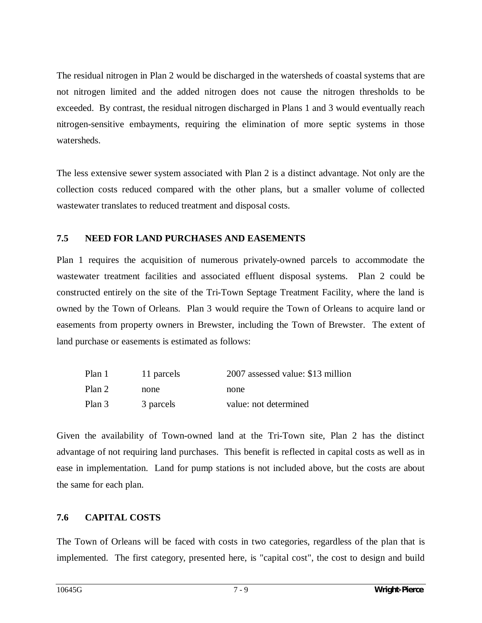The residual nitrogen in Plan 2 would be discharged in the watersheds of coastal systems that are not nitrogen limited and the added nitrogen does not cause the nitrogen thresholds to be exceeded. By contrast, the residual nitrogen discharged in Plans 1 and 3 would eventually reach nitrogen-sensitive embayments, requiring the elimination of more septic systems in those watersheds.

The less extensive sewer system associated with Plan 2 is a distinct advantage. Not only are the collection costs reduced compared with the other plans, but a smaller volume of collected wastewater translates to reduced treatment and disposal costs.

#### **7.5 NEED FOR LAND PURCHASES AND EASEMENTS**

Plan 1 requires the acquisition of numerous privately-owned parcels to accommodate the wastewater treatment facilities and associated effluent disposal systems. Plan 2 could be constructed entirely on the site of the Tri-Town Septage Treatment Facility, where the land is owned by the Town of Orleans. Plan 3 would require the Town of Orleans to acquire land or easements from property owners in Brewster, including the Town of Brewster. The extent of land purchase or easements is estimated as follows:

| Plan 1 | 11 parcels | 2007 assessed value: \$13 million |
|--------|------------|-----------------------------------|
| Plan 2 | none       | none                              |
| Plan 3 | 3 parcels  | value: not determined             |

Given the availability of Town-owned land at the Tri-Town site, Plan 2 has the distinct advantage of not requiring land purchases. This benefit is reflected in capital costs as well as in ease in implementation. Land for pump stations is not included above, but the costs are about the same for each plan.

### **7.6 CAPITAL COSTS**

The Town of Orleans will be faced with costs in two categories, regardless of the plan that is implemented. The first category, presented here, is "capital cost", the cost to design and build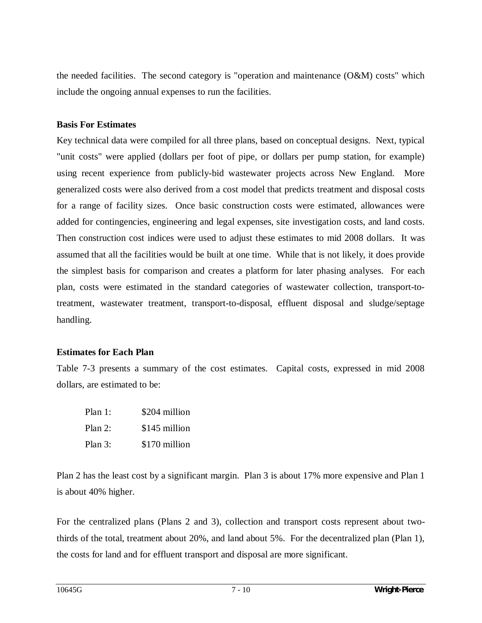the needed facilities. The second category is "operation and maintenance (O&M) costs" which include the ongoing annual expenses to run the facilities.

#### **Basis For Estimates**

Key technical data were compiled for all three plans, based on conceptual designs. Next, typical "unit costs" were applied (dollars per foot of pipe, or dollars per pump station, for example) using recent experience from publicly-bid wastewater projects across New England. More generalized costs were also derived from a cost model that predicts treatment and disposal costs for a range of facility sizes. Once basic construction costs were estimated, allowances were added for contingencies, engineering and legal expenses, site investigation costs, and land costs. Then construction cost indices were used to adjust these estimates to mid 2008 dollars. It was assumed that all the facilities would be built at one time. While that is not likely, it does provide the simplest basis for comparison and creates a platform for later phasing analyses. For each plan, costs were estimated in the standard categories of wastewater collection, transport-totreatment, wastewater treatment, transport-to-disposal, effluent disposal and sludge/septage handling.

#### **Estimates for Each Plan**

Table 7-3 presents a summary of the cost estimates. Capital costs, expressed in mid 2008 dollars, are estimated to be:

| Plan 1:    | \$204 million |
|------------|---------------|
| Plan 2:    | \$145 million |
| Plan $3$ : | \$170 million |

Plan 2 has the least cost by a significant margin. Plan 3 is about 17% more expensive and Plan 1 is about 40% higher.

For the centralized plans (Plans 2 and 3), collection and transport costs represent about twothirds of the total, treatment about 20%, and land about 5%. For the decentralized plan (Plan 1), the costs for land and for effluent transport and disposal are more significant.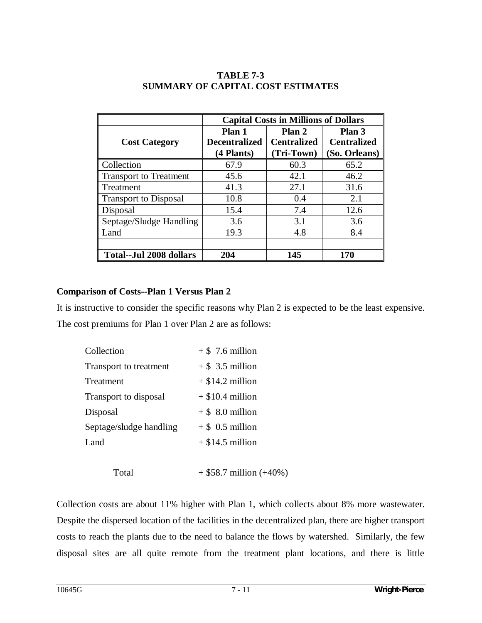|                                | <b>Capital Costs in Millions of Dollars</b> |                    |                    |
|--------------------------------|---------------------------------------------|--------------------|--------------------|
|                                | Plan 1                                      | Plan 2             |                    |
| <b>Cost Category</b>           | <b>Decentralized</b>                        | <b>Centralized</b> | <b>Centralized</b> |
|                                | (4 Plants)                                  | (Tri-Town)         | (So. Orleans)      |
| Collection                     | 67.9                                        | 60.3               | 65.2               |
| <b>Transport to Treatment</b>  | 45.6                                        | 42.1               | 46.2               |
| Treatment                      | 41.3                                        | 27.1               | 31.6               |
| <b>Transport to Disposal</b>   | 10.8                                        | 0.4                | 2.1                |
| Disposal                       | 15.4                                        | 7.4                | 12.6               |
| Septage/Sludge Handling        | 3.6                                         | 3.1                | 3.6                |
| Land                           | 19.3                                        | 4.8                | 8.4                |
|                                |                                             |                    |                    |
| <b>Total--Jul 2008 dollars</b> | 204                                         | 145                | 170                |

### **TABLE 7-3 SUMMARY OF CAPITAL COST ESTIMATES**

### **Comparison of Costs--Plan 1 Versus Plan 2**

It is instructive to consider the specific reasons why Plan 2 is expected to be the least expensive. The cost premiums for Plan 1 over Plan 2 are as follows:

| Collection              | $+$ \$ 7.6 million |
|-------------------------|--------------------|
| Transport to treatment  | $+$ \$ 3.5 million |
| Treatment               | $+$ \$14.2 million |
| Transport to disposal   | $+$ \$10.4 million |
| Disposal                | $+$ \$ 8.0 million |
| Septage/sludge handling | $+$ \$ 0.5 million |
| Land                    | $+$ \$14.5 million |
|                         |                    |

Total  $+ $58.7 \text{ million } (+40\%)$ 

Collection costs are about 11% higher with Plan 1, which collects about 8% more wastewater. Despite the dispersed location of the facilities in the decentralized plan, there are higher transport costs to reach the plants due to the need to balance the flows by watershed. Similarly, the few disposal sites are all quite remote from the treatment plant locations, and there is little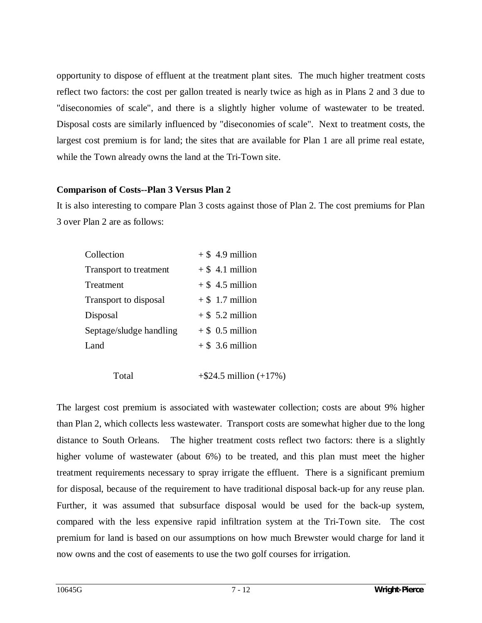opportunity to dispose of effluent at the treatment plant sites. The much higher treatment costs reflect two factors: the cost per gallon treated is nearly twice as high as in Plans 2 and 3 due to "diseconomies of scale", and there is a slightly higher volume of wastewater to be treated. Disposal costs are similarly influenced by "diseconomies of scale". Next to treatment costs, the largest cost premium is for land; the sites that are available for Plan 1 are all prime real estate, while the Town already owns the land at the Tri-Town site.

#### **Comparison of Costs--Plan 3 Versus Plan 2**

It is also interesting to compare Plan 3 costs against those of Plan 2. The cost premiums for Plan 3 over Plan 2 are as follows:

| Collection              | $+$ \$ 4.9 million |
|-------------------------|--------------------|
| Transport to treatment  | $+$ \$ 4.1 million |
| Treatment               | $+$ \$ 4.5 million |
| Transport to disposal   | $+$ \$ 1.7 million |
| Disposal                | $+$ \$ 5.2 million |
| Septage/sludge handling | $+$ \$ 0.5 million |
| Land                    | $+$ \$ 3.6 million |
|                         |                    |

Total  $+ $24.5 \text{ million } (+17\%)$ 

The largest cost premium is associated with wastewater collection; costs are about 9% higher than Plan 2, which collects less wastewater. Transport costs are somewhat higher due to the long distance to South Orleans. The higher treatment costs reflect two factors: there is a slightly higher volume of wastewater (about 6%) to be treated, and this plan must meet the higher treatment requirements necessary to spray irrigate the effluent. There is a significant premium for disposal, because of the requirement to have traditional disposal back-up for any reuse plan. Further, it was assumed that subsurface disposal would be used for the back-up system, compared with the less expensive rapid infiltration system at the Tri-Town site. The cost premium for land is based on our assumptions on how much Brewster would charge for land it now owns and the cost of easements to use the two golf courses for irrigation.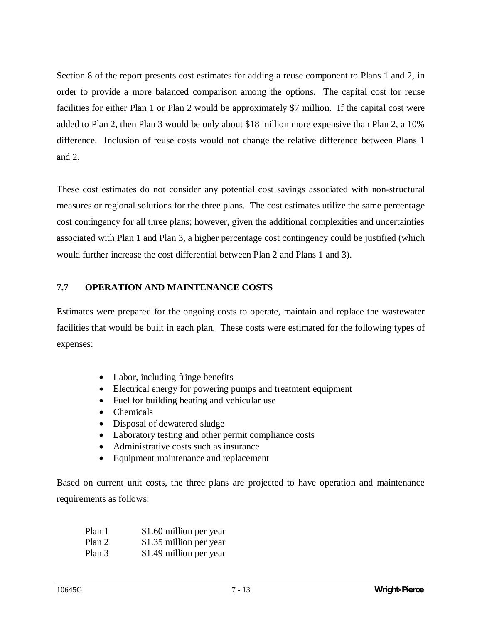Section 8 of the report presents cost estimates for adding a reuse component to Plans 1 and 2, in order to provide a more balanced comparison among the options. The capital cost for reuse facilities for either Plan 1 or Plan 2 would be approximately \$7 million. If the capital cost were added to Plan 2, then Plan 3 would be only about \$18 million more expensive than Plan 2, a 10% difference. Inclusion of reuse costs would not change the relative difference between Plans 1 and 2.

These cost estimates do not consider any potential cost savings associated with non-structural measures or regional solutions for the three plans. The cost estimates utilize the same percentage cost contingency for all three plans; however, given the additional complexities and uncertainties associated with Plan 1 and Plan 3, a higher percentage cost contingency could be justified (which would further increase the cost differential between Plan 2 and Plans 1 and 3).

#### **7.7 OPERATION AND MAINTENANCE COSTS**

Estimates were prepared for the ongoing costs to operate, maintain and replace the wastewater facilities that would be built in each plan. These costs were estimated for the following types of expenses:

- $\bullet$  Labor, including fringe benefits
- Electrical energy for powering pumps and treatment equipment
- Fuel for building heating and vehicular use
- Chemicals
- Disposal of dewatered sludge
- Laboratory testing and other permit compliance costs
- Administrative costs such as insurance
- Equipment maintenance and replacement

Based on current unit costs, the three plans are projected to have operation and maintenance requirements as follows:

| Plan 1 | \$1.60 million per year |
|--------|-------------------------|
| Plan 2 | \$1.35 million per year |
| Plan 3 | \$1.49 million per year |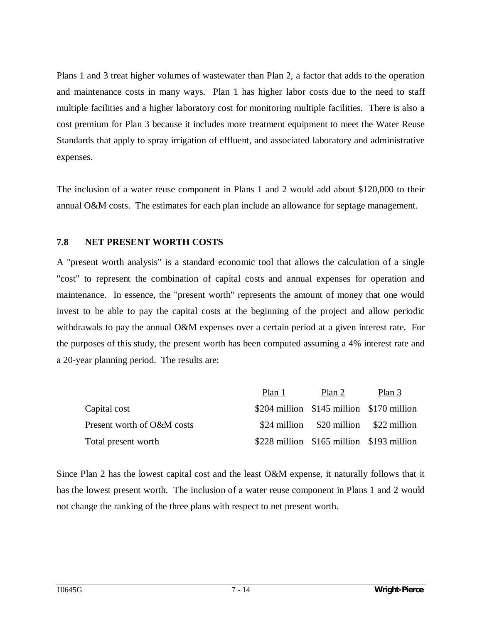Plans 1 and 3 treat higher volumes of wastewater than Plan 2, a factor that adds to the operation and maintenance costs in many ways. Plan 1 has higher labor costs due to the need to staff multiple facilities and a higher laboratory cost for monitoring multiple facilities. There is also a cost premium for Plan 3 because it includes more treatment equipment to meet the Water Reuse Standards that apply to spray irrigation of effluent, and associated laboratory and administrative expenses.

The inclusion of a water reuse component in Plans 1 and 2 would add about \$120,000 to their annual O&M costs. The estimates for each plan include an allowance for septage management.

#### **7.8 NET PRESENT WORTH COSTS**

A "present worth analysis" is a standard economic tool that allows the calculation of a single "cost" to represent the combination of capital costs and annual expenses for operation and maintenance. In essence, the "present worth" represents the amount of money that one would invest to be able to pay the capital costs at the beginning of the project and allow periodic withdrawals to pay the annual O&M expenses over a certain period at a given interest rate. For the purposes of this study, the present worth has been computed assuming a 4% interest rate and a 20-year planning period. The results are:

|                            | Plan 1 | Plan 2                                       | Plan 3 |
|----------------------------|--------|----------------------------------------------|--------|
| Capital cost               |        | $$204$ million $$145$ million $$170$ million |        |
| Present worth of O&M costs |        | $$24$ million $$20$ million $$22$ million    |        |
| Total present worth        |        | $$228$ million $$165$ million $$193$ million |        |

Since Plan 2 has the lowest capital cost and the least O&M expense, it naturally follows that it has the lowest present worth. The inclusion of a water reuse component in Plans 1 and 2 would not change the ranking of the three plans with respect to net present worth.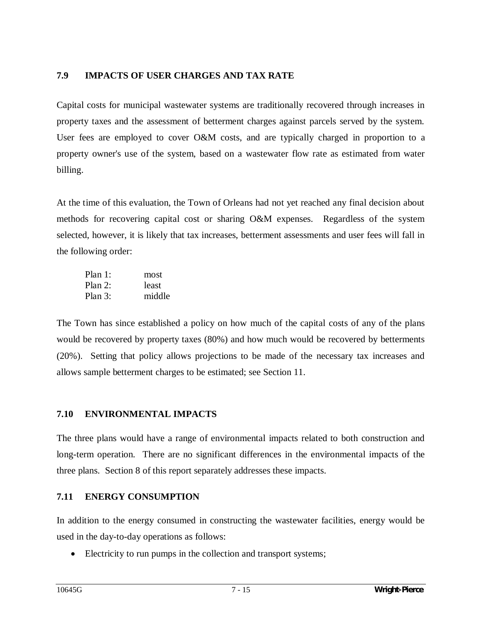### **7.9 IMPACTS OF USER CHARGES AND TAX RATE**

Capital costs for municipal wastewater systems are traditionally recovered through increases in property taxes and the assessment of betterment charges against parcels served by the system. User fees are employed to cover O&M costs, and are typically charged in proportion to a property owner's use of the system, based on a wastewater flow rate as estimated from water billing.

At the time of this evaluation, the Town of Orleans had not yet reached any final decision about methods for recovering capital cost or sharing O&M expenses. Regardless of the system selected, however, it is likely that tax increases, betterment assessments and user fees will fall in the following order:

| Plan $1$ : | most   |
|------------|--------|
| Plan $2$ : | least  |
| Plan $3:$  | middle |

The Town has since established a policy on how much of the capital costs of any of the plans would be recovered by property taxes (80%) and how much would be recovered by betterments (20%). Setting that policy allows projections to be made of the necessary tax increases and allows sample betterment charges to be estimated; see Section 11.

### **7.10 ENVIRONMENTAL IMPACTS**

The three plans would have a range of environmental impacts related to both construction and long-term operation. There are no significant differences in the environmental impacts of the three plans. Section 8 of this report separately addresses these impacts.

### **7.11 ENERGY CONSUMPTION**

In addition to the energy consumed in constructing the wastewater facilities, energy would be used in the day-to-day operations as follows:

• Electricity to run pumps in the collection and transport systems;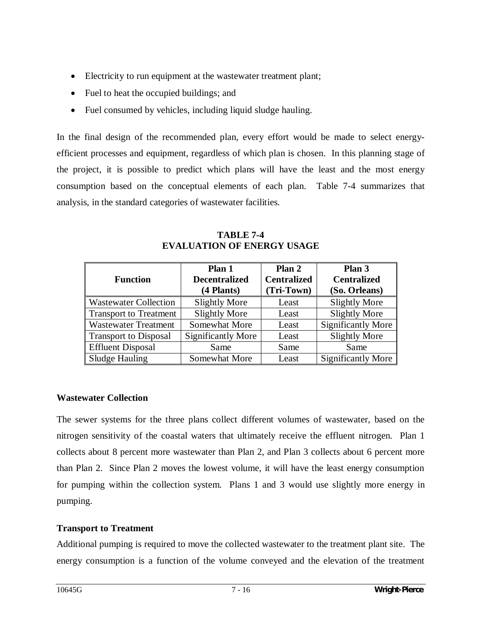- Electricity to run equipment at the wastewater treatment plant;
- $\bullet$  Fuel to heat the occupied buildings; and
- Fuel consumed by vehicles, including liquid sludge hauling.

In the final design of the recommended plan, every effort would be made to select energyefficient processes and equipment, regardless of which plan is chosen. In this planning stage of the project, it is possible to predict which plans will have the least and the most energy consumption based on the conceptual elements of each plan. Table 7-4 summarizes that analysis, in the standard categories of wastewater facilities.

| <b>Function</b>               | Plan 1<br><b>Decentralized</b><br>(4 Plants) | Plan 2<br><b>Centralized</b><br>(Tri-Town) | Plan 3<br><b>Centralized</b><br>(So. Orleans) |
|-------------------------------|----------------------------------------------|--------------------------------------------|-----------------------------------------------|
| <b>Wastewater Collection</b>  | <b>Slightly More</b>                         | Least                                      | <b>Slightly More</b>                          |
| <b>Transport to Treatment</b> | <b>Slightly More</b>                         | Least                                      | <b>Slightly More</b>                          |
| <b>Wastewater Treatment</b>   | Somewhat More                                | Least                                      | <b>Significantly More</b>                     |
| <b>Transport to Disposal</b>  | <b>Significantly More</b>                    | Least                                      | <b>Slightly More</b>                          |
| <b>Effluent Disposal</b>      | Same                                         | Same                                       | Same                                          |
| Sludge Hauling                | Somewhat More                                | Least                                      | Significantly More                            |

**TABLE 7-4 EVALUATION OF ENERGY USAGE** 

### **Wastewater Collection**

The sewer systems for the three plans collect different volumes of wastewater, based on the nitrogen sensitivity of the coastal waters that ultimately receive the effluent nitrogen. Plan 1 collects about 8 percent more wastewater than Plan 2, and Plan 3 collects about 6 percent more than Plan 2. Since Plan 2 moves the lowest volume, it will have the least energy consumption for pumping within the collection system. Plans 1 and 3 would use slightly more energy in pumping.

### **Transport to Treatment**

Additional pumping is required to move the collected wastewater to the treatment plant site. The energy consumption is a function of the volume conveyed and the elevation of the treatment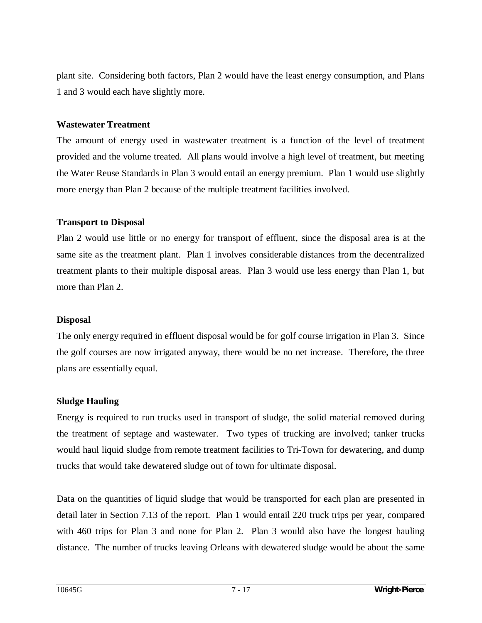plant site. Considering both factors, Plan 2 would have the least energy consumption, and Plans 1 and 3 would each have slightly more.

#### **Wastewater Treatment**

The amount of energy used in wastewater treatment is a function of the level of treatment provided and the volume treated. All plans would involve a high level of treatment, but meeting the Water Reuse Standards in Plan 3 would entail an energy premium. Plan 1 would use slightly more energy than Plan 2 because of the multiple treatment facilities involved.

#### **Transport to Disposal**

Plan 2 would use little or no energy for transport of effluent, since the disposal area is at the same site as the treatment plant. Plan 1 involves considerable distances from the decentralized treatment plants to their multiple disposal areas. Plan 3 would use less energy than Plan 1, but more than Plan 2.

#### **Disposal**

The only energy required in effluent disposal would be for golf course irrigation in Plan 3. Since the golf courses are now irrigated anyway, there would be no net increase. Therefore, the three plans are essentially equal.

#### **Sludge Hauling**

Energy is required to run trucks used in transport of sludge, the solid material removed during the treatment of septage and wastewater. Two types of trucking are involved; tanker trucks would haul liquid sludge from remote treatment facilities to Tri-Town for dewatering, and dump trucks that would take dewatered sludge out of town for ultimate disposal.

Data on the quantities of liquid sludge that would be transported for each plan are presented in detail later in Section 7.13 of the report. Plan 1 would entail 220 truck trips per year, compared with 460 trips for Plan 3 and none for Plan 2. Plan 3 would also have the longest hauling distance. The number of trucks leaving Orleans with dewatered sludge would be about the same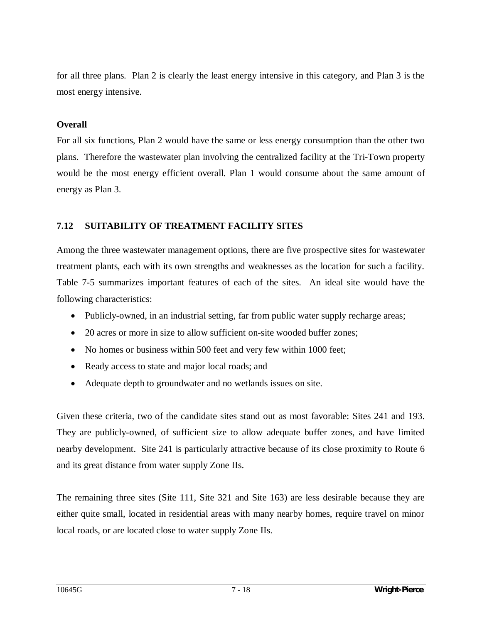for all three plans. Plan 2 is clearly the least energy intensive in this category, and Plan 3 is the most energy intensive.

#### **Overall**

For all six functions, Plan 2 would have the same or less energy consumption than the other two plans. Therefore the wastewater plan involving the centralized facility at the Tri-Town property would be the most energy efficient overall. Plan 1 would consume about the same amount of energy as Plan 3.

#### **7.12 SUITABILITY OF TREATMENT FACILITY SITES**

Among the three wastewater management options, there are five prospective sites for wastewater treatment plants, each with its own strengths and weaknesses as the location for such a facility. Table 7-5 summarizes important features of each of the sites. An ideal site would have the following characteristics:

- Publicly-owned, in an industrial setting, far from public water supply recharge areas;
- 20 acres or more in size to allow sufficient on-site wooded buffer zones;
- No homes or business within 500 feet and very few within 1000 feet;
- Ready access to state and major local roads; and
- Adequate depth to groundwater and no wetlands issues on site.

Given these criteria, two of the candidate sites stand out as most favorable: Sites 241 and 193. They are publicly-owned, of sufficient size to allow adequate buffer zones, and have limited nearby development. Site 241 is particularly attractive because of its close proximity to Route 6 and its great distance from water supply Zone IIs.

The remaining three sites (Site 111, Site 321 and Site 163) are less desirable because they are either quite small, located in residential areas with many nearby homes, require travel on minor local roads, or are located close to water supply Zone IIs.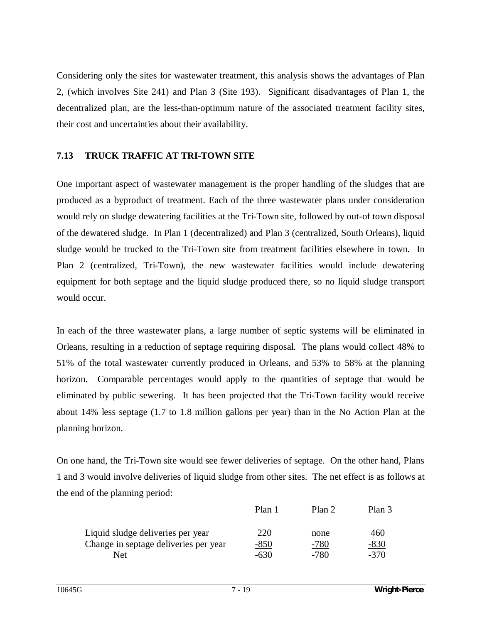Considering only the sites for wastewater treatment, this analysis shows the advantages of Plan 2, (which involves Site 241) and Plan 3 (Site 193). Significant disadvantages of Plan 1, the decentralized plan, are the less-than-optimum nature of the associated treatment facility sites, their cost and uncertainties about their availability.

### **7.13 TRUCK TRAFFIC AT TRI-TOWN SITE**

One important aspect of wastewater management is the proper handling of the sludges that are produced as a byproduct of treatment. Each of the three wastewater plans under consideration would rely on sludge dewatering facilities at the Tri-Town site, followed by out-of town disposal of the dewatered sludge. In Plan 1 (decentralized) and Plan 3 (centralized, South Orleans), liquid sludge would be trucked to the Tri-Town site from treatment facilities elsewhere in town. In Plan 2 (centralized, Tri-Town), the new wastewater facilities would include dewatering equipment for both septage and the liquid sludge produced there, so no liquid sludge transport would occur.

In each of the three wastewater plans, a large number of septic systems will be eliminated in Orleans, resulting in a reduction of septage requiring disposal. The plans would collect 48% to 51% of the total wastewater currently produced in Orleans, and 53% to 58% at the planning horizon. Comparable percentages would apply to the quantities of septage that would be eliminated by public sewering. It has been projected that the Tri-Town facility would receive about 14% less septage (1.7 to 1.8 million gallons per year) than in the No Action Plan at the planning horizon.

On one hand, the Tri-Town site would see fewer deliveries of septage. On the other hand, Plans 1 and 3 would involve deliveries of liquid sludge from other sites. The net effect is as follows at the end of the planning period:

|                                       | Plan 1 | Plan 2 | Plan 3 |
|---------------------------------------|--------|--------|--------|
| Liquid sludge deliveries per year     | 220    | none   | 460    |
| Change in septage deliveries per year | $-850$ | $-780$ | $-830$ |
| Net                                   | -630   | -780   | $-370$ |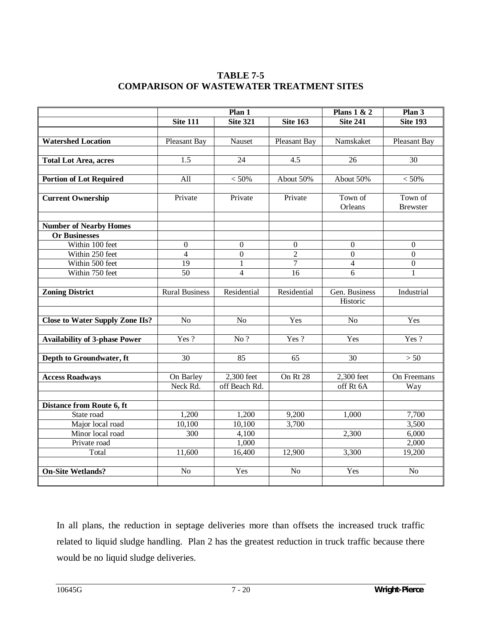### **TABLE 7-5 COMPARISON OF WASTEWATER TREATMENT SITES**

|                                        | Plan 1                |                   |                  | Plans $1 & 2$<br>Plan 3 |                 |
|----------------------------------------|-----------------------|-------------------|------------------|-------------------------|-----------------|
|                                        | <b>Site 111</b>       | <b>Site 321</b>   | <b>Site 163</b>  | <b>Site 241</b>         | <b>Site 193</b> |
|                                        |                       |                   |                  |                         |                 |
| <b>Watershed Location</b>              | Pleasant Bay          | Nauset            | Pleasant Bay     | Namskaket               | Pleasant Bay    |
|                                        |                       |                   |                  |                         |                 |
| <b>Total Lot Area, acres</b>           | 1.5                   | 24                | 4.5              | 26                      | 30              |
|                                        |                       |                   |                  |                         |                 |
| <b>Portion of Lot Required</b>         | All                   | $<50\%$           | About 50%        | About 50%               | $<50\%$         |
|                                        |                       |                   |                  |                         |                 |
| <b>Current Ownership</b>               | Private               | Private           | Private          | Town of                 | Town of         |
|                                        |                       |                   |                  | Orleans                 | <b>Brewster</b> |
| <b>Number of Nearby Homes</b>          |                       |                   |                  |                         |                 |
| <b>Or Businesses</b>                   |                       |                   |                  |                         |                 |
| Within 100 feet                        | $\boldsymbol{0}$      | $\boldsymbol{0}$  | $\boldsymbol{0}$ | $\Omega$                | $\theta$        |
| Within 250 feet                        | $\overline{4}$        | $\overline{0}$    | $\overline{2}$   | $\mathbf{0}$            | $\overline{0}$  |
| Within 500 feet                        | 19                    | 1                 | $\overline{7}$   | $\overline{4}$          | $\overline{0}$  |
| Within 750 feet                        | 50                    | $\overline{4}$    | $\overline{16}$  | $\overline{6}$          | $\mathbf{1}$    |
|                                        |                       |                   |                  |                         |                 |
| <b>Zoning District</b>                 | <b>Rural Business</b> | Residential       | Residential      | Gen. Business           | Industrial      |
|                                        |                       |                   |                  | Historic                |                 |
|                                        |                       |                   |                  |                         |                 |
| <b>Close to Water Supply Zone IIs?</b> | N <sub>o</sub>        | N <sub>o</sub>    | Yes              | N <sub>o</sub>          | Yes             |
|                                        |                       |                   |                  |                         |                 |
| <b>Availability of 3-phase Power</b>   | Yes?                  | $\overline{No}$ ? | Yes?             | Yes                     | Yes?            |
|                                        |                       |                   |                  |                         |                 |
| Depth to Groundwater, ft               | 30                    | 85                | 65               | $\overline{30}$         | $>50$           |
|                                        |                       |                   |                  |                         |                 |
| <b>Access Roadways</b>                 | On Barley             | 2,300 feet        | On Rt 28         | 2,300 feet              | On Freemans     |
|                                        | Neck Rd.              | off Beach Rd.     |                  | off Rt 6A               | Way             |
|                                        |                       |                   |                  |                         |                 |
| Distance from Route 6, ft              |                       |                   |                  |                         |                 |
| State road                             | 1,200                 | 1,200             | 9,200            | 1,000                   | 7,700           |
| Major local road                       | 10,100                | 10,100            | 3,700            |                         | 3,500           |
| Minor local road                       | 300                   | 4,100             |                  | 2,300                   | 6,000           |
| Private road                           |                       | 1,000             |                  |                         | 2,000           |
| Total                                  | 11,600                | 16,400            | 12,900           | 3,300                   | 19,200          |
|                                        |                       |                   |                  |                         |                 |
| <b>On-Site Wetlands?</b>               | No                    | Yes               | N <sub>o</sub>   | Yes                     | No              |
|                                        |                       |                   |                  |                         |                 |

In all plans, the reduction in septage deliveries more than offsets the increased truck traffic related to liquid sludge handling. Plan 2 has the greatest reduction in truck traffic because there would be no liquid sludge deliveries.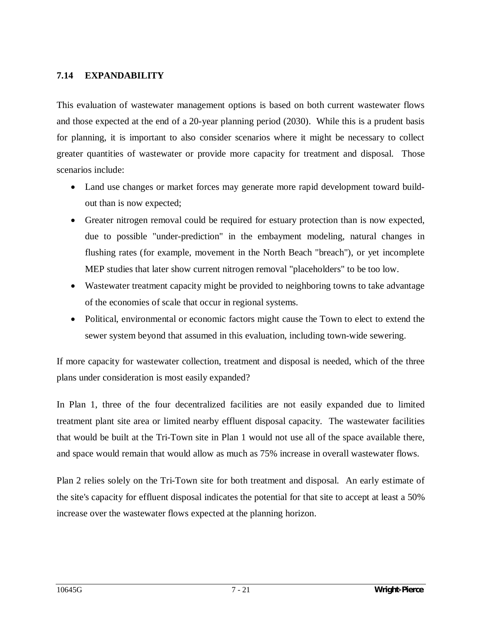### **7.14 EXPANDABILITY**

This evaluation of wastewater management options is based on both current wastewater flows and those expected at the end of a 20-year planning period (2030). While this is a prudent basis for planning, it is important to also consider scenarios where it might be necessary to collect greater quantities of wastewater or provide more capacity for treatment and disposal. Those scenarios include:

- Land use changes or market forces may generate more rapid development toward buildout than is now expected;
- Greater nitrogen removal could be required for estuary protection than is now expected, due to possible "under-prediction" in the embayment modeling, natural changes in flushing rates (for example, movement in the North Beach "breach"), or yet incomplete MEP studies that later show current nitrogen removal "placeholders" to be too low.
- Wastewater treatment capacity might be provided to neighboring towns to take advantage of the economies of scale that occur in regional systems.
- Political, environmental or economic factors might cause the Town to elect to extend the sewer system beyond that assumed in this evaluation, including town-wide sewering.

If more capacity for wastewater collection, treatment and disposal is needed, which of the three plans under consideration is most easily expanded?

In Plan 1, three of the four decentralized facilities are not easily expanded due to limited treatment plant site area or limited nearby effluent disposal capacity. The wastewater facilities that would be built at the Tri-Town site in Plan 1 would not use all of the space available there, and space would remain that would allow as much as 75% increase in overall wastewater flows.

Plan 2 relies solely on the Tri-Town site for both treatment and disposal. An early estimate of the site's capacity for effluent disposal indicates the potential for that site to accept at least a 50% increase over the wastewater flows expected at the planning horizon.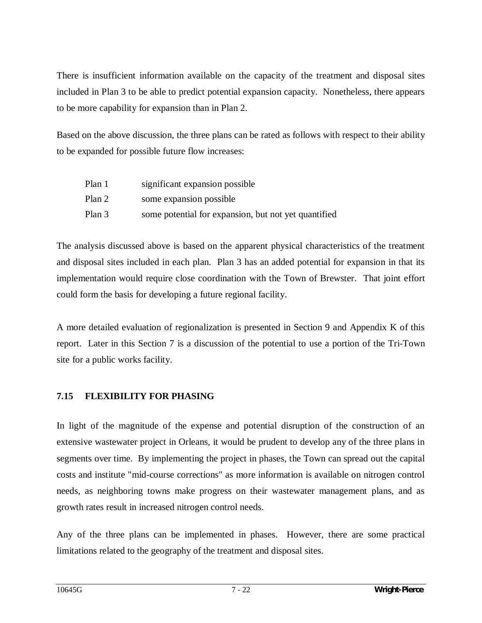There is insufficient information available on the capacity of the treatment and disposal sites included in Plan 3 to be able to predict potential expansion capacity. Nonetheless, there appears to be more capability for expansion than in Plan 2.

Based on the above discussion, the three plans can be rated as follows with respect to their ability to be expanded for possible future flow increases:

| Plan 1 | significant expansion possible                       |
|--------|------------------------------------------------------|
| Plan 2 | some expansion possible                              |
| Plan 3 | some potential for expansion, but not yet quantified |

The analysis discussed above is based on the apparent physical characteristics of the treatment and disposal sites included in each plan. Plan 3 has an added potential for expansion in that its implementation would require close coordination with the Town of Brewster. That joint effort could form the basis for developing a future regional facility.

A more detailed evaluation of regionalization is presented in Section 9 and Appendix K of this report. Later in this Section 7 is a discussion of the potential to use a portion of the Tri-Town site for a public works facility.

## **7.15 FLEXIBILITY FOR PHASING**

In light of the magnitude of the expense and potential disruption of the construction of an extensive wastewater project in Orleans, it would be prudent to develop any of the three plans in segments over time. By implementing the project in phases, the Town can spread out the capital costs and institute "mid-course corrections" as more information is available on nitrogen control needs, as neighboring towns make progress on their wastewater management plans, and as growth rates result in increased nitrogen control needs.

Any of the three plans can be implemented in phases. However, there are some practical limitations related to the geography of the treatment and disposal sites.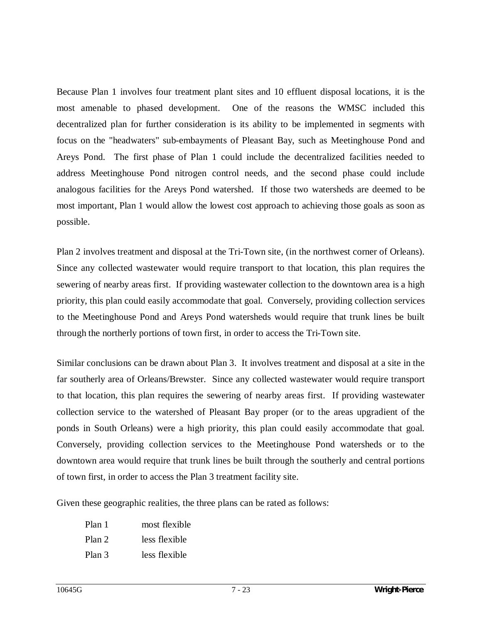Because Plan 1 involves four treatment plant sites and 10 effluent disposal locations, it is the most amenable to phased development. One of the reasons the WMSC included this decentralized plan for further consideration is its ability to be implemented in segments with focus on the "headwaters" sub-embayments of Pleasant Bay, such as Meetinghouse Pond and Areys Pond. The first phase of Plan 1 could include the decentralized facilities needed to address Meetinghouse Pond nitrogen control needs, and the second phase could include analogous facilities for the Areys Pond watershed. If those two watersheds are deemed to be most important, Plan 1 would allow the lowest cost approach to achieving those goals as soon as possible.

Plan 2 involves treatment and disposal at the Tri-Town site, (in the northwest corner of Orleans). Since any collected wastewater would require transport to that location, this plan requires the sewering of nearby areas first. If providing wastewater collection to the downtown area is a high priority, this plan could easily accommodate that goal. Conversely, providing collection services to the Meetinghouse Pond and Areys Pond watersheds would require that trunk lines be built through the northerly portions of town first, in order to access the Tri-Town site.

Similar conclusions can be drawn about Plan 3. It involves treatment and disposal at a site in the far southerly area of Orleans/Brewster. Since any collected wastewater would require transport to that location, this plan requires the sewering of nearby areas first. If providing wastewater collection service to the watershed of Pleasant Bay proper (or to the areas upgradient of the ponds in South Orleans) were a high priority, this plan could easily accommodate that goal. Conversely, providing collection services to the Meetinghouse Pond watersheds or to the downtown area would require that trunk lines be built through the southerly and central portions of town first, in order to access the Plan 3 treatment facility site.

Given these geographic realities, the three plans can be rated as follows:

Plan 1 most flexible Plan 2 less flexible Plan 3 less flexible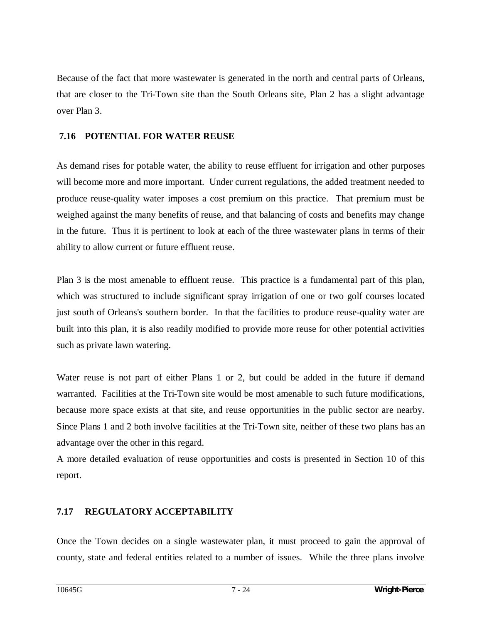Because of the fact that more wastewater is generated in the north and central parts of Orleans, that are closer to the Tri-Town site than the South Orleans site, Plan 2 has a slight advantage over Plan 3.

### **7.16 POTENTIAL FOR WATER REUSE**

As demand rises for potable water, the ability to reuse effluent for irrigation and other purposes will become more and more important. Under current regulations, the added treatment needed to produce reuse-quality water imposes a cost premium on this practice. That premium must be weighed against the many benefits of reuse, and that balancing of costs and benefits may change in the future. Thus it is pertinent to look at each of the three wastewater plans in terms of their ability to allow current or future effluent reuse.

Plan 3 is the most amenable to effluent reuse. This practice is a fundamental part of this plan, which was structured to include significant spray irrigation of one or two golf courses located just south of Orleans's southern border. In that the facilities to produce reuse-quality water are built into this plan, it is also readily modified to provide more reuse for other potential activities such as private lawn watering.

Water reuse is not part of either Plans 1 or 2, but could be added in the future if demand warranted. Facilities at the Tri-Town site would be most amenable to such future modifications, because more space exists at that site, and reuse opportunities in the public sector are nearby. Since Plans 1 and 2 both involve facilities at the Tri-Town site, neither of these two plans has an advantage over the other in this regard.

A more detailed evaluation of reuse opportunities and costs is presented in Section 10 of this report.

### **7.17 REGULATORY ACCEPTABILITY**

Once the Town decides on a single wastewater plan, it must proceed to gain the approval of county, state and federal entities related to a number of issues. While the three plans involve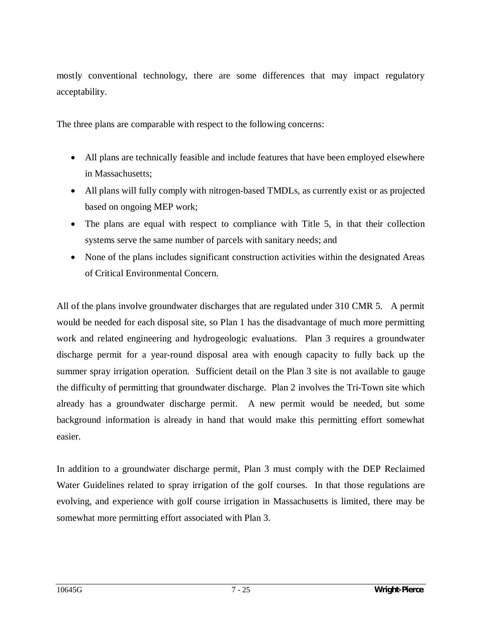mostly conventional technology, there are some differences that may impact regulatory acceptability.

The three plans are comparable with respect to the following concerns:

- All plans are technically feasible and include features that have been employed elsewhere in Massachusetts;
- All plans will fully comply with nitrogen-based TMDLs, as currently exist or as projected based on ongoing MEP work;
- The plans are equal with respect to compliance with Title 5, in that their collection systems serve the same number of parcels with sanitary needs; and
- None of the plans includes significant construction activities within the designated Areas of Critical Environmental Concern.

All of the plans involve groundwater discharges that are regulated under 310 CMR 5. A permit would be needed for each disposal site, so Plan 1 has the disadvantage of much more permitting work and related engineering and hydrogeologic evaluations. Plan 3 requires a groundwater discharge permit for a year-round disposal area with enough capacity to fully back up the summer spray irrigation operation. Sufficient detail on the Plan 3 site is not available to gauge the difficulty of permitting that groundwater discharge. Plan 2 involves the Tri-Town site which already has a groundwater discharge permit. A new permit would be needed, but some background information is already in hand that would make this permitting effort somewhat easier.

In addition to a groundwater discharge permit, Plan 3 must comply with the DEP Reclaimed Water Guidelines related to spray irrigation of the golf courses. In that those regulations are evolving, and experience with golf course irrigation in Massachusetts is limited, there may be somewhat more permitting effort associated with Plan 3.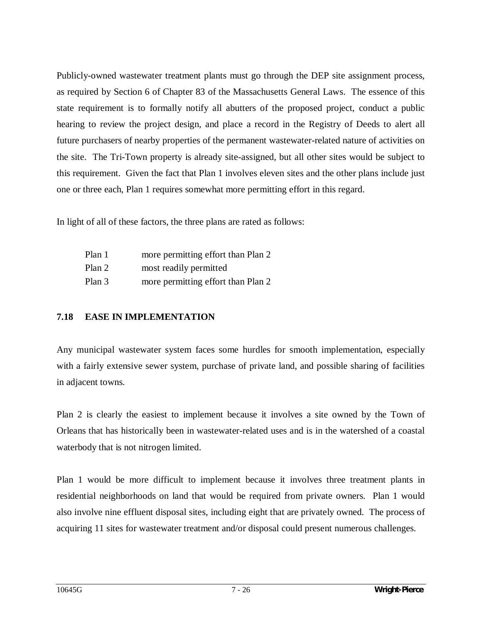Publicly-owned wastewater treatment plants must go through the DEP site assignment process, as required by Section 6 of Chapter 83 of the Massachusetts General Laws. The essence of this state requirement is to formally notify all abutters of the proposed project, conduct a public hearing to review the project design, and place a record in the Registry of Deeds to alert all future purchasers of nearby properties of the permanent wastewater-related nature of activities on the site. The Tri-Town property is already site-assigned, but all other sites would be subject to this requirement. Given the fact that Plan 1 involves eleven sites and the other plans include just one or three each, Plan 1 requires somewhat more permitting effort in this regard.

In light of all of these factors, the three plans are rated as follows:

| Plan 1 | more permitting effort than Plan 2 |
|--------|------------------------------------|
| Plan 2 | most readily permitted             |
| Plan 3 | more permitting effort than Plan 2 |

### **7.18 EASE IN IMPLEMENTATION**

Any municipal wastewater system faces some hurdles for smooth implementation, especially with a fairly extensive sewer system, purchase of private land, and possible sharing of facilities in adjacent towns.

Plan 2 is clearly the easiest to implement because it involves a site owned by the Town of Orleans that has historically been in wastewater-related uses and is in the watershed of a coastal waterbody that is not nitrogen limited.

Plan 1 would be more difficult to implement because it involves three treatment plants in residential neighborhoods on land that would be required from private owners. Plan 1 would also involve nine effluent disposal sites, including eight that are privately owned. The process of acquiring 11 sites for wastewater treatment and/or disposal could present numerous challenges.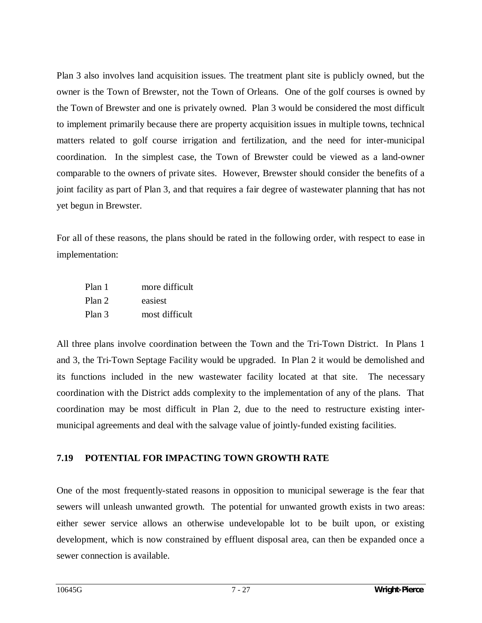Plan 3 also involves land acquisition issues. The treatment plant site is publicly owned, but the owner is the Town of Brewster, not the Town of Orleans. One of the golf courses is owned by the Town of Brewster and one is privately owned. Plan 3 would be considered the most difficult to implement primarily because there are property acquisition issues in multiple towns, technical matters related to golf course irrigation and fertilization, and the need for inter-municipal coordination. In the simplest case, the Town of Brewster could be viewed as a land-owner comparable to the owners of private sites. However, Brewster should consider the benefits of a joint facility as part of Plan 3, and that requires a fair degree of wastewater planning that has not yet begun in Brewster.

For all of these reasons, the plans should be rated in the following order, with respect to ease in implementation:

| Plan 1 | more difficult |
|--------|----------------|
| Plan 2 | easiest        |
| Plan 3 | most difficult |

All three plans involve coordination between the Town and the Tri-Town District. In Plans 1 and 3, the Tri-Town Septage Facility would be upgraded. In Plan 2 it would be demolished and its functions included in the new wastewater facility located at that site. The necessary coordination with the District adds complexity to the implementation of any of the plans. That coordination may be most difficult in Plan 2, due to the need to restructure existing intermunicipal agreements and deal with the salvage value of jointly-funded existing facilities.

### **7.19 POTENTIAL FOR IMPACTING TOWN GROWTH RATE**

One of the most frequently-stated reasons in opposition to municipal sewerage is the fear that sewers will unleash unwanted growth. The potential for unwanted growth exists in two areas: either sewer service allows an otherwise undevelopable lot to be built upon, or existing development, which is now constrained by effluent disposal area, can then be expanded once a sewer connection is available.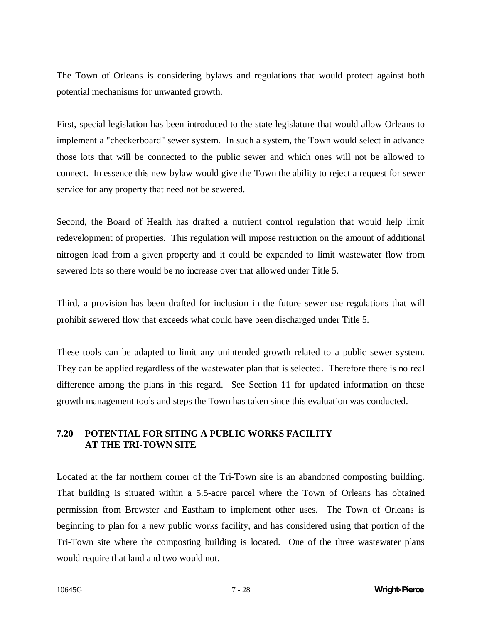The Town of Orleans is considering bylaws and regulations that would protect against both potential mechanisms for unwanted growth.

First, special legislation has been introduced to the state legislature that would allow Orleans to implement a "checkerboard" sewer system. In such a system, the Town would select in advance those lots that will be connected to the public sewer and which ones will not be allowed to connect. In essence this new bylaw would give the Town the ability to reject a request for sewer service for any property that need not be sewered.

Second, the Board of Health has drafted a nutrient control regulation that would help limit redevelopment of properties. This regulation will impose restriction on the amount of additional nitrogen load from a given property and it could be expanded to limit wastewater flow from sewered lots so there would be no increase over that allowed under Title 5.

Third, a provision has been drafted for inclusion in the future sewer use regulations that will prohibit sewered flow that exceeds what could have been discharged under Title 5.

These tools can be adapted to limit any unintended growth related to a public sewer system. They can be applied regardless of the wastewater plan that is selected. Therefore there is no real difference among the plans in this regard. See Section 11 for updated information on these growth management tools and steps the Town has taken since this evaluation was conducted.

#### **7.20 POTENTIAL FOR SITING A PUBLIC WORKS FACILITY AT THE TRI-TOWN SITE**

Located at the far northern corner of the Tri-Town site is an abandoned composting building. That building is situated within a 5.5-acre parcel where the Town of Orleans has obtained permission from Brewster and Eastham to implement other uses. The Town of Orleans is beginning to plan for a new public works facility, and has considered using that portion of the Tri-Town site where the composting building is located. One of the three wastewater plans would require that land and two would not.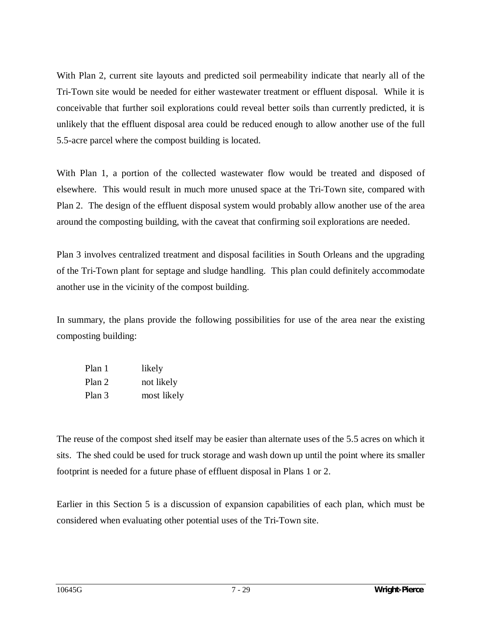With Plan 2, current site layouts and predicted soil permeability indicate that nearly all of the Tri-Town site would be needed for either wastewater treatment or effluent disposal. While it is conceivable that further soil explorations could reveal better soils than currently predicted, it is unlikely that the effluent disposal area could be reduced enough to allow another use of the full 5.5-acre parcel where the compost building is located.

With Plan 1, a portion of the collected wastewater flow would be treated and disposed of elsewhere. This would result in much more unused space at the Tri-Town site, compared with Plan 2. The design of the effluent disposal system would probably allow another use of the area around the composting building, with the caveat that confirming soil explorations are needed.

Plan 3 involves centralized treatment and disposal facilities in South Orleans and the upgrading of the Tri-Town plant for septage and sludge handling. This plan could definitely accommodate another use in the vicinity of the compost building.

In summary, the plans provide the following possibilities for use of the area near the existing composting building:

| Plan 1 | likely      |
|--------|-------------|
| Plan 2 | not likely  |
| Plan 3 | most likely |

The reuse of the compost shed itself may be easier than alternate uses of the 5.5 acres on which it sits. The shed could be used for truck storage and wash down up until the point where its smaller footprint is needed for a future phase of effluent disposal in Plans 1 or 2.

Earlier in this Section 5 is a discussion of expansion capabilities of each plan, which must be considered when evaluating other potential uses of the Tri-Town site.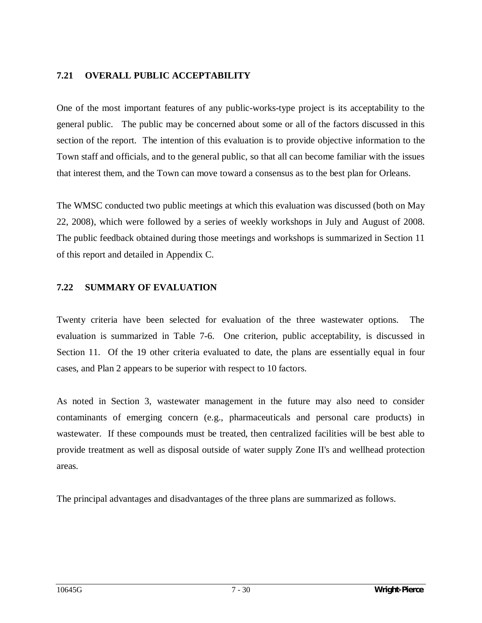### **7.21 OVERALL PUBLIC ACCEPTABILITY**

One of the most important features of any public-works-type project is its acceptability to the general public. The public may be concerned about some or all of the factors discussed in this section of the report. The intention of this evaluation is to provide objective information to the Town staff and officials, and to the general public, so that all can become familiar with the issues that interest them, and the Town can move toward a consensus as to the best plan for Orleans.

The WMSC conducted two public meetings at which this evaluation was discussed (both on May 22, 2008), which were followed by a series of weekly workshops in July and August of 2008. The public feedback obtained during those meetings and workshops is summarized in Section 11 of this report and detailed in Appendix C.

#### **7.22 SUMMARY OF EVALUATION**

Twenty criteria have been selected for evaluation of the three wastewater options. The evaluation is summarized in Table 7-6. One criterion, public acceptability, is discussed in Section 11. Of the 19 other criteria evaluated to date, the plans are essentially equal in four cases, and Plan 2 appears to be superior with respect to 10 factors.

As noted in Section 3, wastewater management in the future may also need to consider contaminants of emerging concern (e.g., pharmaceuticals and personal care products) in wastewater. If these compounds must be treated, then centralized facilities will be best able to provide treatment as well as disposal outside of water supply Zone II's and wellhead protection areas.

The principal advantages and disadvantages of the three plans are summarized as follows.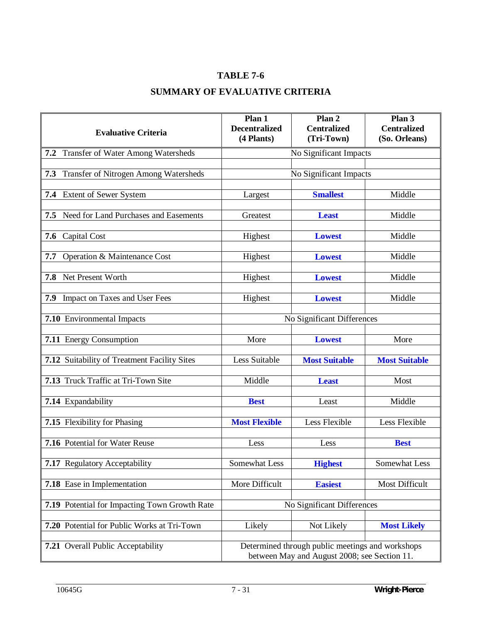# **TABLE 7-6**

## **SUMMARY OF EVALUATIVE CRITERIA**

| <b>Evaluative Criteria</b>                           | Plan 1<br><b>Decentralized</b><br>(4 Plants)                                                     | Plan 2<br><b>Centralized</b><br>(Tri-Town) | Plan 3<br><b>Centralized</b><br>(So. Orleans) |
|------------------------------------------------------|--------------------------------------------------------------------------------------------------|--------------------------------------------|-----------------------------------------------|
| 7.2 Transfer of Water Among Watersheds               | No Significant Impacts                                                                           |                                            |                                               |
| Transfer of Nitrogen Among Watersheds<br>7.3         | No Significant Impacts                                                                           |                                            |                                               |
| 7.4 Extent of Sewer System                           | Largest                                                                                          | <b>Smallest</b>                            | Middle                                        |
| 7.5 Need for Land Purchases and Easements            | Greatest                                                                                         | <b>Least</b>                               | Middle                                        |
| Capital Cost<br>7.6                                  | Highest                                                                                          | <b>Lowest</b>                              | Middle                                        |
| Operation & Maintenance Cost<br>7.7                  | Highest                                                                                          | <b>Lowest</b>                              | Middle                                        |
| Net Present Worth<br>7.8                             | Highest                                                                                          | <b>Lowest</b>                              | Middle                                        |
| 7.9 Impact on Taxes and User Fees                    | Highest                                                                                          | <b>Lowest</b>                              | Middle                                        |
| 7.10 Environmental Impacts                           | No Significant Differences                                                                       |                                            |                                               |
| 7.11 Energy Consumption                              | More                                                                                             | <b>Lowest</b>                              | More                                          |
| 7.12 Suitability of Treatment Facility Sites         | Less Suitable                                                                                    | <b>Most Suitable</b>                       | <b>Most Suitable</b>                          |
| 7.13 Truck Traffic at Tri-Town Site                  | Middle                                                                                           | <b>Least</b>                               | Most                                          |
| 7.14 Expandability                                   | <b>Best</b>                                                                                      | Least                                      | Middle                                        |
| 7.15 Flexibility for Phasing                         | <b>Most Flexible</b>                                                                             | Less Flexible                              | Less Flexible                                 |
| 7.16 Potential for Water Reuse                       | Less                                                                                             | Less                                       | <b>Best</b>                                   |
| 7.17 Regulatory Acceptability                        | Somewhat Less                                                                                    | <b>Highest</b>                             | Somewhat Less                                 |
| 7.18 Ease in Implementation                          | More Difficult                                                                                   | <b>Easiest</b>                             | Most Difficult                                |
| <b>7.19</b> Potential for Impacting Town Growth Rate | No Significant Differences                                                                       |                                            |                                               |
| 7.20 Potential for Public Works at Tri-Town          | Likely                                                                                           | Not Likely                                 | <b>Most Likely</b>                            |
| 7.21 Overall Public Acceptability                    | Determined through public meetings and workshops<br>between May and August 2008; see Section 11. |                                            |                                               |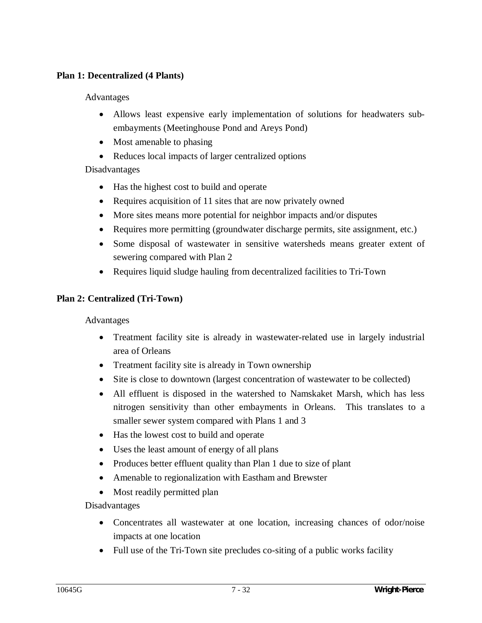### **Plan 1: Decentralized (4 Plants)**

#### Advantages

- Allows least expensive early implementation of solutions for headwaters subembayments (Meetinghouse Pond and Areys Pond)
- Most amenable to phasing
- Reduces local impacts of larger centralized options

### Disadvantages

- Has the highest cost to build and operate
- Requires acquisition of 11 sites that are now privately owned
- More sites means more potential for neighbor impacts and/or disputes
- Requires more permitting (groundwater discharge permits, site assignment, etc.)
- Some disposal of wastewater in sensitive watersheds means greater extent of sewering compared with Plan 2
- Requires liquid sludge hauling from decentralized facilities to Tri-Town

### **Plan 2: Centralized (Tri-Town)**

#### Advantages

- Treatment facility site is already in wastewater-related use in largely industrial area of Orleans
- Treatment facility site is already in Town ownership
- Site is close to downtown (largest concentration of wastewater to be collected)
- All effluent is disposed in the watershed to Namskaket Marsh, which has less nitrogen sensitivity than other embayments in Orleans. This translates to a smaller sewer system compared with Plans 1 and 3
- Has the lowest cost to build and operate
- Uses the least amount of energy of all plans
- Produces better effluent quality than Plan 1 due to size of plant
- Amenable to regionalization with Eastham and Brewster
- Most readily permitted plan

#### Disadvantages

- Concentrates all wastewater at one location, increasing chances of odor/noise impacts at one location
- Full use of the Tri-Town site precludes co-siting of a public works facility